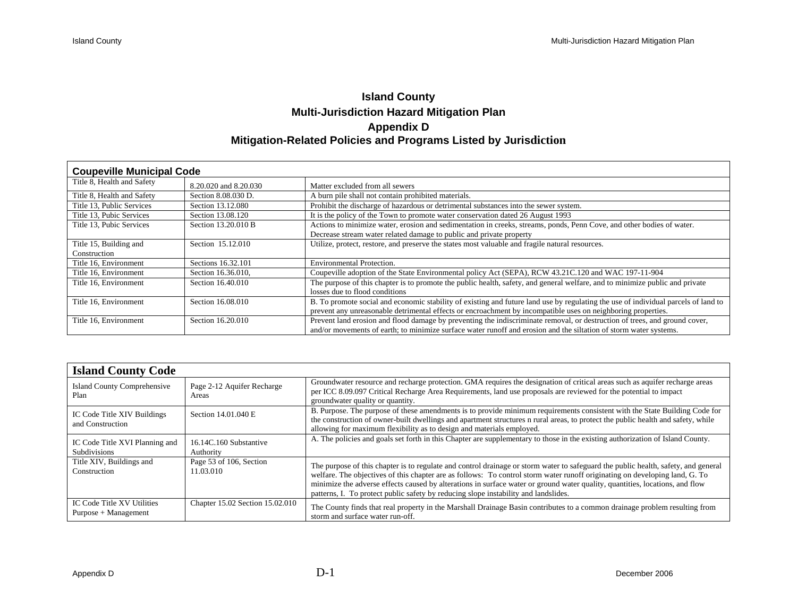## **Island County Multi-Jurisdiction Hazard Mitigation Plan Appendix D Mitigation-Related Policies and Programs Listed by Jurisdiction**

| <b>Coupeville Municipal Code</b> |                       |                                                                                                                                                                                                                                                    |
|----------------------------------|-----------------------|----------------------------------------------------------------------------------------------------------------------------------------------------------------------------------------------------------------------------------------------------|
| Title 8, Health and Safety       | 8.20.020 and 8.20.030 | Matter excluded from all sewers                                                                                                                                                                                                                    |
| Title 8, Health and Safety       | Section 8.08.030 D.   | A burn pile shall not contain prohibited materials.                                                                                                                                                                                                |
| Title 13, Public Services        | Section 13.12.080     | Prohibit the discharge of hazardous or detrimental substances into the sewer system.                                                                                                                                                               |
| Title 13, Pubic Services         | Section 13.08.120     | It is the policy of the Town to promote water conservation dated 26 August 1993                                                                                                                                                                    |
| Title 13, Pubic Services         | Section 13.20.010 B   | Actions to minimize water, erosion and sedimentation in creeks, streams, ponds, Penn Cove, and other bodies of water.<br>Decrease stream water related damage to public and private property                                                       |
| Title 15, Building and           | Section 15.12.010     | Utilize, protect, restore, and preserve the states most valuable and fragile natural resources.                                                                                                                                                    |
| Construction                     |                       |                                                                                                                                                                                                                                                    |
| Title 16, Environment            | Sections 16.32.101    | Environmental Protection.                                                                                                                                                                                                                          |
| Title 16, Environment            | Section 16.36.010,    | Coupeville adoption of the State Environmental policy Act (SEPA), RCW 43.21C.120 and WAC 197-11-904                                                                                                                                                |
| Title 16, Environment            | Section 16.40.010     | The purpose of this chapter is to promote the public health, safety, and general welfare, and to minimize public and private<br>losses due to flood conditions                                                                                     |
| Title 16, Environment            | Section 16.08.010     | B. To promote social and economic stability of existing and future land use by regulating the use of individual parcels of land to<br>prevent any unreasonable detrimental effects or encroachment by incompatible uses on neighboring properties. |
| Title 16, Environment            | Section 16.20.010     | Prevent land erosion and flood damage by preventing the indiscriminate removal, or destruction of trees, and ground cover,<br>and/or movements of earth; to minimize surface water runoff and erosion and the siltation of storm water systems.    |

| <b>Island County Code</b>                             |                                      |                                                                                                                                                                                                                                                                                                                                                                                                                                                                                          |  |
|-------------------------------------------------------|--------------------------------------|------------------------------------------------------------------------------------------------------------------------------------------------------------------------------------------------------------------------------------------------------------------------------------------------------------------------------------------------------------------------------------------------------------------------------------------------------------------------------------------|--|
| Island County Comprehensive<br>Plan                   | Page 2-12 Aquifer Recharge<br>Areas  | Groundwater resource and recharge protection. GMA requires the designation of critical areas such as aquifer recharge areas<br>per ICC 8.09.097 Critical Recharge Area Requirements, land use proposals are reviewed for the potential to impact<br>groundwater quality or quantity.                                                                                                                                                                                                     |  |
| IC Code Title XIV Buildings<br>and Construction       | Section 14.01.040 E                  | B. Purpose. The purpose of these amendments is to provide minimum requirements consistent with the State Building Code for<br>the construction of owner-built dwellings and apartment structures n rural areas, to protect the public health and safety, while<br>allowing for maximum flexibility as to design and materials employed.                                                                                                                                                  |  |
| IC Code Title XVI Planning and<br><b>Subdivisions</b> | 16.14C.160 Substantive<br>Authority  | A. The policies and goals set forth in this Chapter are supplementary to those in the existing authorization of Island County.                                                                                                                                                                                                                                                                                                                                                           |  |
| Title XIV, Buildings and<br>Construction              | Page 53 of 106, Section<br>11.03.010 | The purpose of this chapter is to regulate and control drainage or storm water to safeguard the public health, safety, and general<br>welfare. The objectives of this chapter are as follows: To control storm water runoff originating on developing land, G. To<br>minimize the adverse effects caused by alterations in surface water or ground water quality, quantities, locations, and flow<br>patterns, I. To protect public safety by reducing slope instability and landslides. |  |
| IC Code Title XV Utilities<br>$Purpose + Management$  | Chapter 15.02 Section 15.02.010      | The County finds that real property in the Marshall Drainage Basin contributes to a common drainage problem resulting from<br>storm and surface water run-off.                                                                                                                                                                                                                                                                                                                           |  |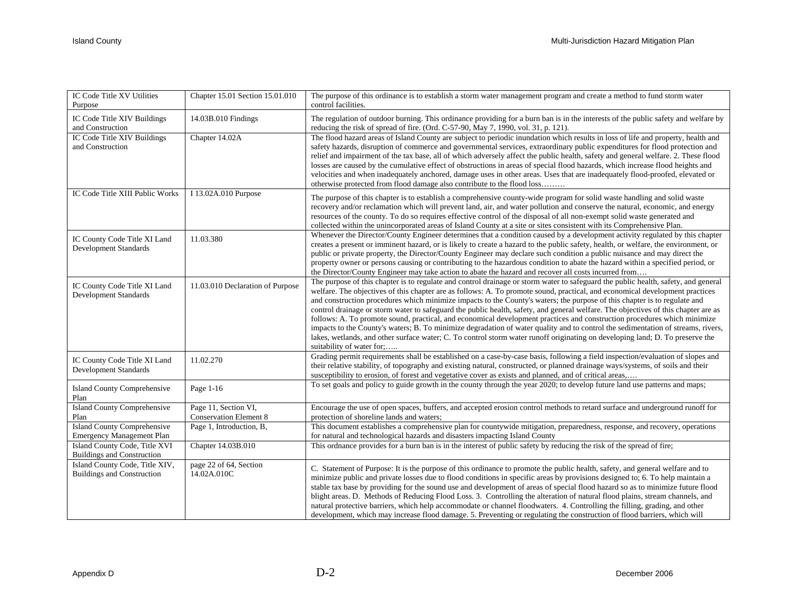| IC Code Title XV Utilities<br>Purpose                               | Chapter 15.01 Section 15.01.010                       | The purpose of this ordinance is to establish a storm water management program and create a method to fund storm water<br>control facilities.                                                                                                                                                                                                                                                                                                                                                                                                                                                                                                                                                                                                                                                                                                                                                                                                                       |
|---------------------------------------------------------------------|-------------------------------------------------------|---------------------------------------------------------------------------------------------------------------------------------------------------------------------------------------------------------------------------------------------------------------------------------------------------------------------------------------------------------------------------------------------------------------------------------------------------------------------------------------------------------------------------------------------------------------------------------------------------------------------------------------------------------------------------------------------------------------------------------------------------------------------------------------------------------------------------------------------------------------------------------------------------------------------------------------------------------------------|
| IC Code Title XIV Buildings<br>and Construction                     | 14.03B.010 Findings                                   | The regulation of outdoor burning. This ordinance providing for a burn ban is in the interests of the public safety and welfare by<br>reducing the risk of spread of fire. (Ord. C-57-90, May 7, 1990, vol. 31, p. 121).                                                                                                                                                                                                                                                                                                                                                                                                                                                                                                                                                                                                                                                                                                                                            |
| IC Code Title XIV Buildings<br>and Construction                     | Chapter 14.02A                                        | The flood hazard areas of Island County are subject to periodic inundation which results in loss of life and property, health and<br>safety hazards, disruption of commerce and governmental services, extraordinary public expenditures for flood protection and<br>relief and impairment of the tax base, all of which adversely affect the public health, safety and general welfare. 2. These flood<br>losses are caused by the cumulative effect of obstructions in areas of special flood hazards, which increase flood heights and<br>velocities and when inadequately anchored, damage uses in other areas. Uses that are inadequately flood-proofed, elevated or<br>otherwise protected from flood damage also contribute to the flood loss                                                                                                                                                                                                                |
| IC Code Title XIII Public Works                                     | I 13.02A.010 Purpose                                  | The purpose of this chapter is to establish a comprehensive county-wide program for solid waste handling and solid waste<br>recovery and/or reclamation which will prevent land, air, and water pollution and conserve the natural, economic, and energy<br>resources of the county. To do so requires effective control of the disposal of all non-exempt solid waste generated and<br>collected within the unincorporated areas of Island County at a site or sites consistent with its Comprehensive Plan.                                                                                                                                                                                                                                                                                                                                                                                                                                                       |
| IC County Code Title XI Land<br><b>Development Standards</b>        | 11.03.380                                             | Whenever the Director/County Engineer determines that a condition caused by a development activity regulated by this chapter<br>creates a present or imminent hazard, or is likely to create a hazard to the public safety, health, or welfare, the environment, or<br>public or private property, the Director/County Engineer may declare such condition a public nuisance and may direct the<br>property owner or persons causing or contributing to the hazardous condition to abate the hazard within a specified period, or<br>the Director/County Engineer may take action to abate the hazard and recover all costs incurred from                                                                                                                                                                                                                                                                                                                           |
| IC County Code Title XI Land<br><b>Development Standards</b>        | 11.03.010 Declaration of Purpose                      | The purpose of this chapter is to regulate and control drainage or storm water to safeguard the public health, safety, and general<br>welfare. The objectives of this chapter are as follows: A. To promote sound, practical, and economical development practices<br>and construction procedures which minimize impacts to the County's waters; the purpose of this chapter is to regulate and<br>control drainage or storm water to safeguard the public health, safety, and general welfare. The objectives of this chapter are as<br>follows: A. To promote sound, practical, and economical development practices and construction procedures which minimize<br>impacts to the County's waters; B. To minimize degradation of water quality and to control the sedimentation of streams, rivers,<br>lakes, wetlands, and other surface water; C. To control storm water runoff originating on developing land; D. To preserve the<br>suitability of water for; |
| IC County Code Title XI Land<br><b>Development Standards</b>        | 11.02.270                                             | Grading permit requirements shall be established on a case-by-case basis, following a field inspection/evaluation of slopes and<br>their relative stability, of topography and existing natural, constructed, or planned drainage ways/systems, of soils and their<br>susceptibility to erosion, of forest and vegetative cover as exists and planned, and of critical areas,                                                                                                                                                                                                                                                                                                                                                                                                                                                                                                                                                                                       |
| <b>Island County Comprehensive</b><br>Plan                          | Page 1-16                                             | To set goals and policy to guide growth in the county through the year 2020; to develop future land use patterns and maps;                                                                                                                                                                                                                                                                                                                                                                                                                                                                                                                                                                                                                                                                                                                                                                                                                                          |
| <b>Island County Comprehensive</b><br>Plan                          | Page 11, Section VI,<br><b>Conservation Element 8</b> | Encourage the use of open spaces, buffers, and accepted erosion control methods to retard surface and underground runoff for<br>protection of shoreline lands and waters;                                                                                                                                                                                                                                                                                                                                                                                                                                                                                                                                                                                                                                                                                                                                                                                           |
| <b>Island County Comprehensive</b><br>Emergency Management Plan     | Page 1, Introduction, B,                              | This document establishes a comprehensive plan for countywide mitigation, preparedness, response, and recovery, operations<br>for natural and technological hazards and disasters impacting Island County                                                                                                                                                                                                                                                                                                                                                                                                                                                                                                                                                                                                                                                                                                                                                           |
| Island County Code, Title XVI<br><b>Buildings and Construction</b>  | Chapter 14.03B.010                                    | This ordnance provides for $\overline{a}$ burn ban is in the interest of public safety by reducing the risk of the spread of fire;                                                                                                                                                                                                                                                                                                                                                                                                                                                                                                                                                                                                                                                                                                                                                                                                                                  |
| Island County Code, Title XIV,<br><b>Buildings and Construction</b> | page 22 of 64, Section<br>14.02A.010C                 | C. Statement of Purpose: It is the purpose of this ordinance to promote the public health, safety, and general welfare and to<br>minimize public and private losses due to flood conditions in specific areas by provisions designed to; 6. To help maintain a<br>stable tax base by providing for the sound use and development of areas of special flood hazard so as to minimize future flood<br>blight areas. D. Methods of Reducing Flood Loss. 3. Controlling the alteration of natural flood plains, stream channels, and<br>natural protective barriers, which help accommodate or channel floodwaters. 4. Controlling the filling, grading, and other<br>development, which may increase flood damage. 5. Preventing or regulating the construction of flood barriers, which will                                                                                                                                                                          |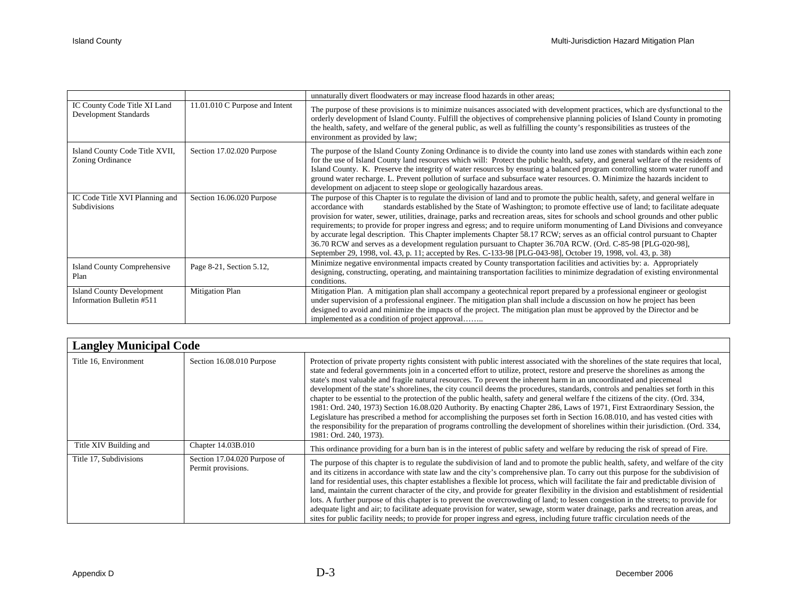|                                                               |                                | unnaturally divert floodwaters or may increase flood hazards in other areas;                                                                                                                                                                                                                                                                                                                                                                                                                                                                                                                                                                                                                                                                                                                                                                                                                           |
|---------------------------------------------------------------|--------------------------------|--------------------------------------------------------------------------------------------------------------------------------------------------------------------------------------------------------------------------------------------------------------------------------------------------------------------------------------------------------------------------------------------------------------------------------------------------------------------------------------------------------------------------------------------------------------------------------------------------------------------------------------------------------------------------------------------------------------------------------------------------------------------------------------------------------------------------------------------------------------------------------------------------------|
| IC County Code Title XI Land<br>Development Standards         | 11.01.010 C Purpose and Intent | The purpose of these provisions is to minimize nuisances associated with development practices, which are dysfunctional to the<br>orderly development of Island County. Fulfill the objectives of comprehensive planning policies of Island County in promoting<br>the health, safety, and welfare of the general public, as well as fulfilling the county's responsibilities as trustees of the<br>environment as provided by law;                                                                                                                                                                                                                                                                                                                                                                                                                                                                    |
| Island County Code Title XVII,<br>Zoning Ordinance            | Section 17.02.020 Purpose      | The purpose of the Island County Zoning Ordinance is to divide the county into land use zones with standards within each zone<br>for the use of Island County land resources which will: Protect the public health, safety, and general welfare of the residents of<br>Island County. K. Preserve the integrity of water resources by ensuring a balanced program controlling storm water runoff and<br>ground water recharge. L. Prevent pollution of surface and subsurface water resources. O. Minimize the hazards incident to<br>development on adjacent to steep slope or geologically hazardous areas.                                                                                                                                                                                                                                                                                          |
| IC Code Title XVI Planning and<br>Subdivisions                | Section 16.06.020 Purpose      | The purpose of this Chapter is to regulate the division of land and to promote the public health, safety, and general welfare in<br>standards established by the State of Washington; to promote effective use of land; to facilitate adequate<br>accordance with<br>provision for water, sewer, utilities, drainage, parks and recreation areas, sites for schools and school grounds and other public<br>requirements; to provide for proper ingress and egress; and to require uniform monumenting of Land Divisions and conveyance<br>by accurate legal description. This Chapter implements Chapter 58.17 RCW; serves as an official control pursuant to Chapter<br>36.70 RCW and serves as a development regulation pursuant to Chapter 36.70A RCW. (Ord. C-85-98 [PLG-020-98],<br>September 29, 1998, vol. 43, p. 11; accepted by Res. C-133-98 [PLG-043-98], October 19, 1998, vol. 43, p. 38) |
| <b>Island County Comprehensive</b><br>Plan                    | Page 8-21, Section 5.12,       | Minimize negative environmental impacts created by County transportation facilities and activities by: a. Appropriately<br>designing, constructing, operating, and maintaining transportation facilities to minimize degradation of existing environmental<br>conditions.                                                                                                                                                                                                                                                                                                                                                                                                                                                                                                                                                                                                                              |
| <b>Island County Development</b><br>Information Bulletin #511 | Mitigation Plan                | Mitigation Plan. A mitigation plan shall accompany a geotechnical report prepared by a professional engineer or geologist<br>under supervision of a professional engineer. The mitigation plan shall include a discussion on how he project has been<br>designed to avoid and minimize the impacts of the project. The mitigation plan must be approved by the Director and be<br>implemented as a condition of project approval                                                                                                                                                                                                                                                                                                                                                                                                                                                                       |

| <b>Langley Municipal Code</b> |                                                    |                                                                                                                                                                                                                                                                                                                                                                                                                                                                                                                                                                                                                                                                                                                                                                                                                                                                                                                                                                                                                                                                                                          |  |
|-------------------------------|----------------------------------------------------|----------------------------------------------------------------------------------------------------------------------------------------------------------------------------------------------------------------------------------------------------------------------------------------------------------------------------------------------------------------------------------------------------------------------------------------------------------------------------------------------------------------------------------------------------------------------------------------------------------------------------------------------------------------------------------------------------------------------------------------------------------------------------------------------------------------------------------------------------------------------------------------------------------------------------------------------------------------------------------------------------------------------------------------------------------------------------------------------------------|--|
| Title 16, Environment         | Section 16.08.010 Purpose                          | Protection of private property rights consistent with public interest associated with the shorelines of the state requires that local,<br>state and federal governments join in a concerted effort to utilize, protect, restore and preserve the shorelines as among the<br>state's most valuable and fragile natural resources. To prevent the inherent harm in an uncoordinated and piecemeal<br>development of the state's shorelines, the city council deems the procedures, standards, controls and penalties set forth in this<br>chapter to be essential to the protection of the public health, safety and general welfare f the citizens of the city. (Ord. 334,<br>1981: Ord. 240, 1973) Section 16.08.020 Authority. By enacting Chapter 286, Laws of 1971, First Extraordinary Session, the<br>Legislature has prescribed a method for accomplishing the purposes set forth in Section 16.08.010, and has vested cities with<br>the responsibility for the preparation of programs controlling the development of shorelines within their jurisdiction. (Ord. 334,<br>1981: Ord. 240, 1973). |  |
| Title XIV Building and        | Chapter 14.03B.010                                 | This ordinance providing for a burn ban is in the interest of public safety and welfare by reducing the risk of spread of Fire.                                                                                                                                                                                                                                                                                                                                                                                                                                                                                                                                                                                                                                                                                                                                                                                                                                                                                                                                                                          |  |
| Title 17, Subdivisions        | Section 17.04.020 Purpose of<br>Permit provisions. | The purpose of this chapter is to regulate the subdivision of land and to promote the public health, safety, and welfare of the city<br>and its citizens in accordance with state law and the city's comprehensive plan. To carry out this purpose for the subdivision of<br>land for residential uses, this chapter establishes a flexible lot process, which will facilitate the fair and predictable division of<br>land, maintain the current character of the city, and provide for greater flexibility in the division and establishment of residential<br>lots. A further purpose of this chapter is to prevent the overcrowding of land; to lessen congestion in the streets; to provide for<br>adequate light and air; to facilitate adequate provision for water, sewage, storm water drainage, parks and recreation areas, and<br>sites for public facility needs; to provide for proper ingress and egress, including future traffic circulation needs of the                                                                                                                                |  |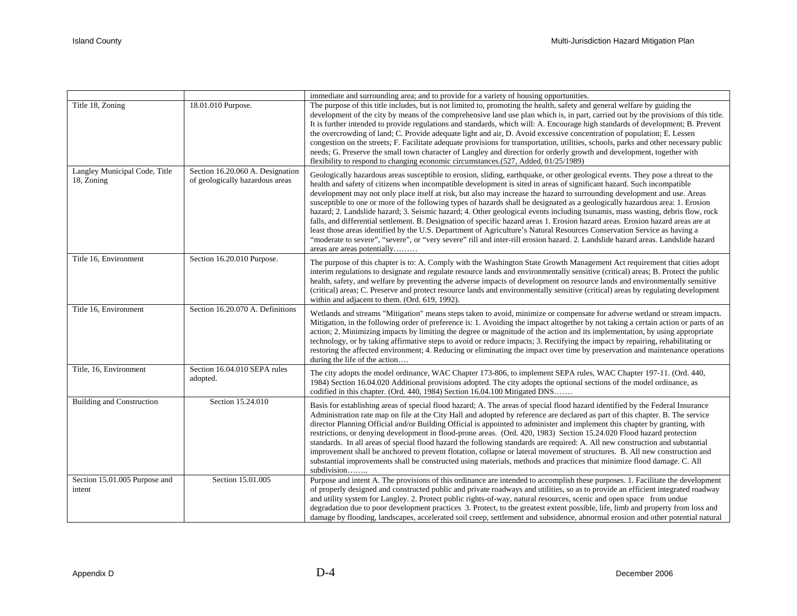|                                             |                                                                     | immediate and surrounding area; and to provide for a variety of housing opportunities.                                                                                                                                                                                                                                                                                                                                                                                                                                                                                                                                                                                                                                                                                                                                                                                                                                                                                                                                                                                                      |
|---------------------------------------------|---------------------------------------------------------------------|---------------------------------------------------------------------------------------------------------------------------------------------------------------------------------------------------------------------------------------------------------------------------------------------------------------------------------------------------------------------------------------------------------------------------------------------------------------------------------------------------------------------------------------------------------------------------------------------------------------------------------------------------------------------------------------------------------------------------------------------------------------------------------------------------------------------------------------------------------------------------------------------------------------------------------------------------------------------------------------------------------------------------------------------------------------------------------------------|
| Title 18, Zoning                            | 18.01.010 Purpose.                                                  | The purpose of this title includes, but is not limited to, promoting the health, safety and general welfare by guiding the<br>development of the city by means of the comprehensive land use plan which is, in part, carried out by the provisions of this title.<br>It is further intended to provide regulations and standards, which will: A. Encourage high standards of development; B. Prevent<br>the overcrowding of land; C. Provide adequate light and air, D. Avoid excessive concentration of population; E. Lessen<br>congestion on the streets; F. Facilitate adequate provisions for transportation, utilities, schools, parks and other necessary public<br>needs; G. Preserve the small town character of Langley and direction for orderly growth and development, together with<br>flexibility to respond to changing economic circumstances. (527, Added, 01/25/1989)                                                                                                                                                                                                    |
| Langley Municipal Code, Title<br>18, Zoning | Section 16.20.060 A. Designation<br>of geologically hazardous areas | Geologically hazardous areas susceptible to erosion, sliding, earthquake, or other geological events. They pose a threat to the<br>health and safety of citizens when incompatible development is sited in areas of significant hazard. Such incompatible<br>development may not only place itself at risk, but also may increase the hazard to surrounding development and use. Areas<br>susceptible to one or more of the following types of hazards shall be designated as a geologically hazardous area: 1. Erosion<br>hazard; 2. Landslide hazard; 3. Seismic hazard; 4. Other geological events including tsunamis, mass wasting, debris flow, rock<br>falls, and differential settlement. B. Designation of specific hazard areas 1. Erosion hazard areas. Erosion hazard areas are at<br>least those areas identified by the U.S. Department of Agriculture's Natural Resources Conservation Service as having a<br>"moderate to severe", "severe", or "very severe" rill and inter-rill erosion hazard. 2. Landslide hazard areas. Landslide hazard<br>areas are areas potentially |
| Title 16, Environment                       | Section 16.20.010 Purpose.                                          | The purpose of this chapter is to: A. Comply with the Washington State Growth Management Act requirement that cities adopt<br>interim regulations to designate and regulate resource lands and environmentally sensitive (critical) areas; B. Protect the public<br>health, safety, and welfare by preventing the adverse impacts of development on resource lands and environmentally sensitive<br>(critical) areas; C. Preserve and protect resource lands and environmentally sensitive (critical) areas by regulating development<br>within and adjacent to them. (Ord. 619, 1992).                                                                                                                                                                                                                                                                                                                                                                                                                                                                                                     |
| Title 16, Environment                       | Section 16.20.070 A. Definitions                                    | Wetlands and streams "Mitigation" means steps taken to avoid, minimize or compensate for adverse wetland or stream impacts.<br>Mitigation, in the following order of preference is: 1. Avoiding the impact altogether by not taking a certain action or parts of an<br>action; 2. Minimizing impacts by limiting the degree or magnitude of the action and its implementation, by using appropriate<br>technology, or by taking affirmative steps to avoid or reduce impacts; 3. Rectifying the impact by repairing, rehabilitating or<br>restoring the affected environment; 4. Reducing or eliminating the impact over time by preservation and maintenance operations<br>during the life of the action                                                                                                                                                                                                                                                                                                                                                                                   |
| Title, 16, Environment                      | Section 16.04.010 SEPA rules<br>adopted.                            | The city adopts the model ordinance, WAC Chapter 173-806, to implement SEPA rules, WAC Chapter 197-11. (Ord. 440,<br>1984) Section 16.04.020 Additional provisions adopted. The city adopts the optional sections of the model ordinance, as<br>codified in this chapter. (Ord. 440, 1984) Section 16.04.100 Mitigated DNS                                                                                                                                                                                                                                                                                                                                                                                                                                                                                                                                                                                                                                                                                                                                                                  |
| <b>Building and Construction</b>            | Section 15.24.010                                                   | Basis for establishing areas of special flood hazard; A. The areas of special flood hazard identified by the Federal Insurance<br>Administration rate map on file at the City Hall and adopted by reference are declared as part of this chapter. B. The service<br>director Planning Official and/or Building Official is appointed to administer and implement this chapter by granting, with<br>restrictions, or denying development in flood-prone areas. (Ord. 420, 1983) Section 15.24.020 Flood hazard protection<br>standards. In all areas of special flood hazard the following standards are required: A. All new construction and substantial<br>improvement shall be anchored to prevent flotation, collapse or lateral movement of structures. B. All new construction and<br>substantial improvements shall be constructed using materials, methods and practices that minimize flood damage. C. All<br>subdivision                                                                                                                                                          |
| Section 15.01.005 Purpose and<br>intent     | Section 15.01.005                                                   | Purpose and intent A. The provisions of this ordinance are intended to accomplish these purposes. 1. Facilitate the development<br>of properly designed and constructed public and private roadways and utilities, so as to provide an efficient integrated roadway<br>and utility system for Langley. 2. Protect public rights-of-way, natural resources, scenic and open space from undue<br>degradation due to poor development practices 3. Protect, to the greatest extent possible, life, limb and property from loss and<br>damage by flooding, landscapes, accelerated soil creep, settlement and subsidence, abnormal erosion and other potential natural                                                                                                                                                                                                                                                                                                                                                                                                                          |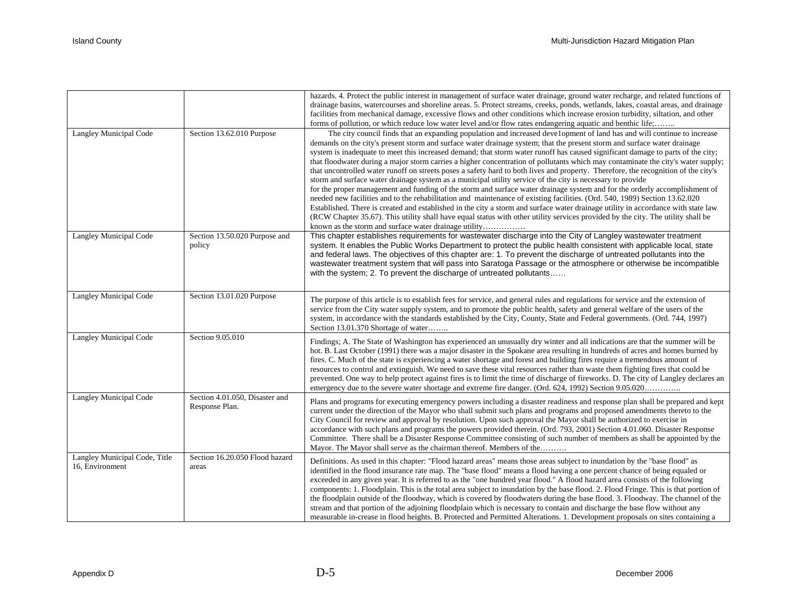|                                                  |                                                  | hazards. 4. Protect the public interest in management of surface water drainage, ground water recharge, and related functions of<br>drainage basins, watercourses and shoreline areas. 5. Protect streams, creeks, ponds, wetlands, lakes, coastal areas, and drainage<br>facilities from mechanical damage, excessive flows and other conditions which increase erosion turbidity, siltation, and other<br>forms of pollution, or which reduce low water level and/or flow rates endangering aquatic and benthic life;                                                                                                                                                                                                                                                                                                                                                                                                                                                                                                                                                                                                                                                                                                                                                                                                                                                      |
|--------------------------------------------------|--------------------------------------------------|------------------------------------------------------------------------------------------------------------------------------------------------------------------------------------------------------------------------------------------------------------------------------------------------------------------------------------------------------------------------------------------------------------------------------------------------------------------------------------------------------------------------------------------------------------------------------------------------------------------------------------------------------------------------------------------------------------------------------------------------------------------------------------------------------------------------------------------------------------------------------------------------------------------------------------------------------------------------------------------------------------------------------------------------------------------------------------------------------------------------------------------------------------------------------------------------------------------------------------------------------------------------------------------------------------------------------------------------------------------------------|
| Langley Municipal Code                           | Section 13.62.010 Purpose                        | The city council finds that an expanding population and increased development of land has and will continue to increase<br>demands on the city's present storm and surface water drainage system; that the present storm and surface water drainage<br>system is inadequate to meet this increased demand; that storm water runoff has caused significant damage to parts of the city;<br>that floodwater during a major storm carries a higher concentration of pollutants which may contaminate the city's water supply;<br>that uncontrolled water runoff on streets poses a safety hard to both lives and property. Therefore, the recognition of the city's<br>storm and surface water drainage system as a municipal utility service of the city is necessary to provide<br>for the proper management and funding of the storm and surface water drainage system and for the orderly accomplishment of<br>needed new facilities and to the rehabilitation and maintenance of existing facilities. (Ord. 540, 1989) Section 13.62.020<br>Established. There is created and established in the city a storm and surface water drainage utility in accordance with state law<br>(RCW Chapter 35.67). This utility shall have equal status with other utility services provided by the city. The utility shall be<br>known as the storm and surface water drainage utility |
| Langley Municipal Code                           | Section 13.50.020 Purpose and<br>policy          | This chapter establishes requirements for wastewater discharge into the City of Langley wastewater treatment<br>system. It enables the Public Works Department to protect the public health consistent with applicable local, state<br>and federal laws. The objectives of this chapter are: 1. To prevent the discharge of untreated pollutants into the<br>wastewater treatment system that will pass into Saratoga Passage or the atmosphere or otherwise be incompatible<br>with the system; 2. To prevent the discharge of untreated pollutants                                                                                                                                                                                                                                                                                                                                                                                                                                                                                                                                                                                                                                                                                                                                                                                                                         |
| Langley Municipal Code                           | Section 13.01.020 Purpose                        | The purpose of this article is to establish fees for service, and general rules and regulations for service and the extension of<br>service from the City water supply system, and to promote the public health, safety and general welfare of the users of the<br>system, in accordance with the standards established by the City, County, State and Federal governments. (Ord. 744, 1997)<br>Section 13.01.370 Shortage of water                                                                                                                                                                                                                                                                                                                                                                                                                                                                                                                                                                                                                                                                                                                                                                                                                                                                                                                                          |
| Langley Municipal Code                           | Section 9.05.010                                 | Findings; A. The State of Washington has experienced an unusually dry winter and all indications are that the summer will be<br>hot. B. Last October (1991) there was a major disaster in the Spokane area resulting in hundreds of acres and homes burned by<br>fires. C. Much of the state is experiencing a water shortage and forest and building fires require a tremendous amount of<br>resources to control and extinguish. We need to save these vital resources rather than waste them fighting fires that could be<br>prevented. One way to help protect against fires is to limit the time of discharge of fireworks. D. The city of Langley declares an<br>emergency due to the severe water shortage and extreme fire danger. (Ord. 624, 1992) Section 9.05.020                                                                                                                                                                                                                                                                                                                                                                                                                                                                                                                                                                                                 |
| <b>Langley Municipal Code</b>                    | Section 4.01.050, Disaster and<br>Response Plan. | Plans and programs for executing emergency powers including a disaster readiness and response plan shall be prepared and kept<br>current under the direction of the Mayor who shall submit such plans and programs and proposed amendments thereto to the<br>City Council for review and approval by resolution. Upon such approval the Mayor shall be authorized to exercise in<br>accordance with such plans and programs the powers provided therein. (Ord. 793, 2001) Section 4.01.060. Disaster Response<br>Committee. There shall be a Disaster Response Committee consisting of such number of members as shall be appointed by the<br>Mayor. The Mayor shall serve as the chairman thereof. Members of the                                                                                                                                                                                                                                                                                                                                                                                                                                                                                                                                                                                                                                                           |
| Langley Municipal Code, Title<br>16, Environment | Section 16.20.050 Flood hazard<br>areas          | Definitions. As used in this chapter: "Flood hazard areas" means those areas subject to inundation by the "base flood" as<br>identified in the flood insurance rate map. The "base flood" means a flood having a one percent chance of being equaled or<br>exceeded in any given year. It is referred to as the "one hundred year flood." A flood hazard area consists of the following<br>components: 1. Floodplain. This is the total area subject to inundation by the base flood. 2. Flood Fringe. This is that portion of<br>the floodplain outside of the floodway, which is covered by floodwaters during the base flood. 3. Floodway. The channel of the<br>stream and that portion of the adjoining floodplain which is necessary to contain and discharge the base flow without any<br>measurable in-crease in flood heights. B. Protected and Permitted Alterations. 1. Development proposals on sites containing a                                                                                                                                                                                                                                                                                                                                                                                                                                               |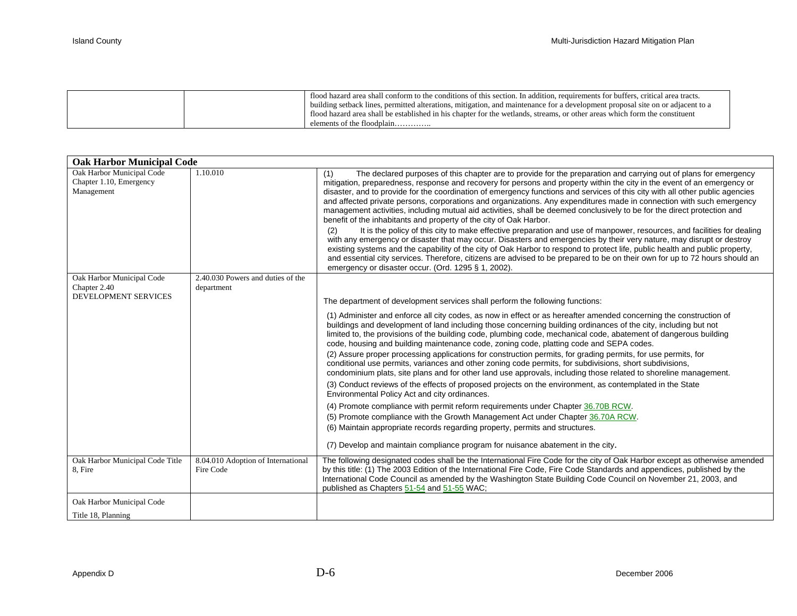|  | flood hazard area shall conform to the conditions of this section. In addition, requirements for buffers, critical area tracts.<br>building setback lines, permitted alterations, mitigation, and maintenance for a development proposal site on or adjacent to a<br>f lood hazard area shall be established in his chapter for the wetlands, streams, or other areas which form the constituent |
|--|--------------------------------------------------------------------------------------------------------------------------------------------------------------------------------------------------------------------------------------------------------------------------------------------------------------------------------------------------------------------------------------------------|
|--|--------------------------------------------------------------------------------------------------------------------------------------------------------------------------------------------------------------------------------------------------------------------------------------------------------------------------------------------------------------------------------------------------|

| <b>Oak Harbor Municipal Code</b>                                   |                                                 |                                                                                                                                                                                                                                                                                                                                                                                                                                                                                                                                                                                                                                                                                                                                                                                                                                                                                                                                                                                                                                                                                                                                                                                                                                                                                                                                                                                              |
|--------------------------------------------------------------------|-------------------------------------------------|----------------------------------------------------------------------------------------------------------------------------------------------------------------------------------------------------------------------------------------------------------------------------------------------------------------------------------------------------------------------------------------------------------------------------------------------------------------------------------------------------------------------------------------------------------------------------------------------------------------------------------------------------------------------------------------------------------------------------------------------------------------------------------------------------------------------------------------------------------------------------------------------------------------------------------------------------------------------------------------------------------------------------------------------------------------------------------------------------------------------------------------------------------------------------------------------------------------------------------------------------------------------------------------------------------------------------------------------------------------------------------------------|
| Oak Harbor Municipal Code<br>Chapter 1.10, Emergency<br>Management | 1.10.010                                        | The declared purposes of this chapter are to provide for the preparation and carrying out of plans for emergency<br>(1)<br>mitigation, preparedness, response and recovery for persons and property within the city in the event of an emergency or<br>disaster, and to provide for the coordination of emergency functions and services of this city with all other public agencies<br>and affected private persons, corporations and organizations. Any expenditures made in connection with such emergency<br>management activities, including mutual aid activities, shall be deemed conclusively to be for the direct protection and<br>benefit of the inhabitants and property of the city of Oak Harbor.<br>It is the policy of this city to make effective preparation and use of manpower, resources, and facilities for dealing<br>(2)<br>with any emergency or disaster that may occur. Disasters and emergencies by their very nature, may disrupt or destroy<br>existing systems and the capability of the city of Oak Harbor to respond to protect life, public health and public property,<br>and essential city services. Therefore, citizens are advised to be prepared to be on their own for up to 72 hours should an<br>emergency or disaster occur. (Ord. 1295 § 1, 2002).                                                                                              |
| Oak Harbor Municipal Code<br>Chapter 2.40<br>DEVELOPMENT SERVICES  | 2.40.030 Powers and duties of the<br>department | The department of development services shall perform the following functions:<br>(1) Administer and enforce all city codes, as now in effect or as hereafter amended concerning the construction of<br>buildings and development of land including those concerning building ordinances of the city, including but not<br>limited to, the provisions of the building code, plumbing code, mechanical code, abatement of dangerous building<br>code, housing and building maintenance code, zoning code, platting code and SEPA codes.<br>(2) Assure proper processing applications for construction permits, for grading permits, for use permits, for<br>conditional use permits, variances and other zoning code permits, for subdivisions, short subdivisions,<br>condominium plats, site plans and for other land use approvals, including those related to shoreline management.<br>(3) Conduct reviews of the effects of proposed projects on the environment, as contemplated in the State<br>Environmental Policy Act and city ordinances.<br>(4) Promote compliance with permit reform requirements under Chapter 36.70B RCW.<br>(5) Promote compliance with the Growth Management Act under Chapter 36.70A RCW.<br>(6) Maintain appropriate records regarding property, permits and structures.<br>(7) Develop and maintain compliance program for nuisance abatement in the city. |
| Oak Harbor Municipal Code Title<br>8. Fire                         | 8.04.010 Adoption of International<br>Fire Code | The following designated codes shall be the International Fire Code for the city of Oak Harbor except as otherwise amended<br>by this title: (1) The 2003 Edition of the International Fire Code, Fire Code Standards and appendices, published by the<br>International Code Council as amended by the Washington State Building Code Council on November 21, 2003, and<br>published as Chapters 51-54 and 51-55 WAC;                                                                                                                                                                                                                                                                                                                                                                                                                                                                                                                                                                                                                                                                                                                                                                                                                                                                                                                                                                        |
| Oak Harbor Municipal Code<br>Title 18, Planning                    |                                                 |                                                                                                                                                                                                                                                                                                                                                                                                                                                                                                                                                                                                                                                                                                                                                                                                                                                                                                                                                                                                                                                                                                                                                                                                                                                                                                                                                                                              |